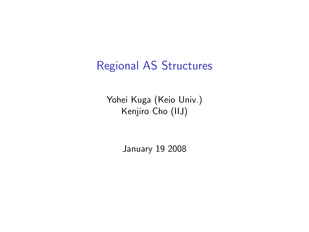# Regional AS Structures

Yohei Kuga (Keio Univ.) Kenjiro Cho (IIJ)

January 19 2008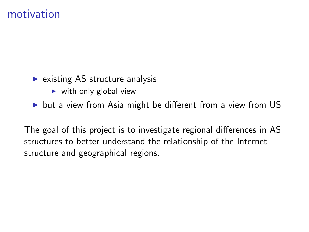### motivation

- $\triangleright$  existing AS structure analysis
	- $\triangleright$  with only global view
- $\triangleright$  but a view from Asia might be different from a view from US

The goal of this project is to investigate regional differences in AS structures to better understand the relationship of the Internet structure and geographical regions.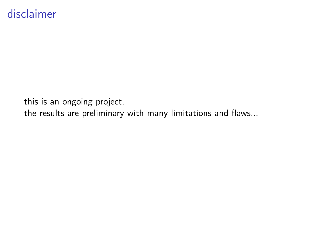### disclaimer

this is an ongoing project.

the results are preliminary with many limitations and flaws...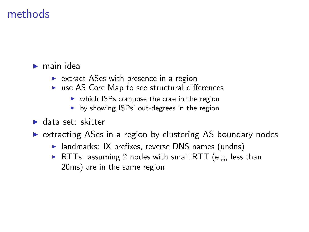### methods

#### $\blacktriangleright$  main idea

- $\triangleright$  extract ASes with presence in a region
- $\triangleright$  use AS Core Map to see structural differences
	- $\triangleright$  which ISPs compose the core in the region
	- $\triangleright$  by showing ISPs' out-degrees in the region
- ▶ data set: skitter
- $\triangleright$  extracting ASes in a region by clustering AS boundary nodes
	- $\triangleright$  landmarks: IX prefixes, reverse DNS names (undns)
	- $\triangleright$  RTTs: assuming 2 nodes with small RTT (e.g, less than 20ms) are in the same region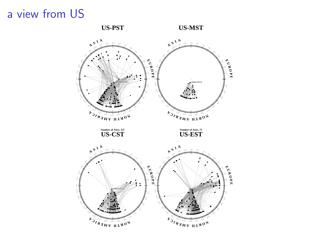# a view from US

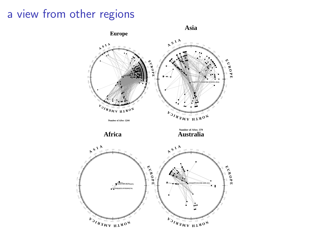# a view from other regions

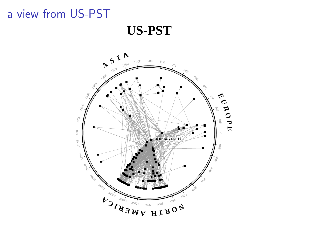# a view from US-PST

**US-PST**

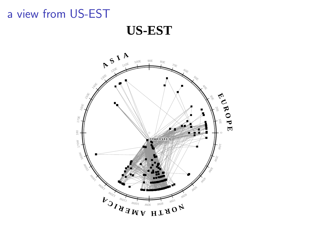# a view from US-EST

**US-EST**

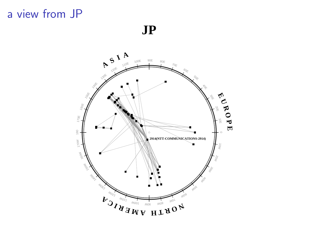### a view from JP

**JP**

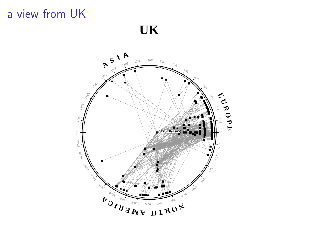# a view from UK

**UK**

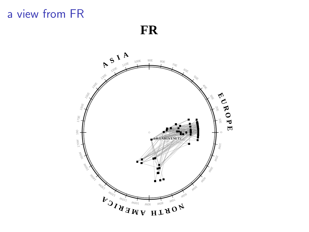# a view from FR

**FR**

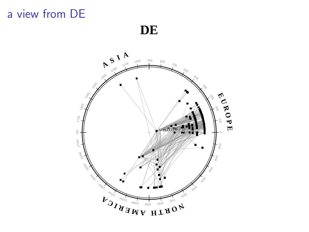# a view from DE

**DE**

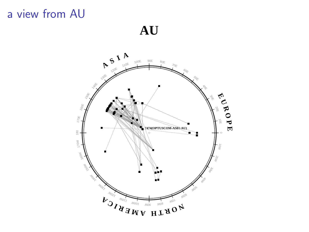# a view from AU

**AU**

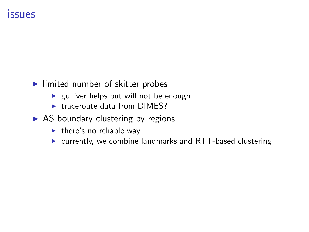### issues

- $\blacktriangleright$  limited number of skitter probes
	- $\blacktriangleright$  gulliver helps but will not be enough
	- $\triangleright$  traceroute data from DIMES?
- $\triangleright$  AS boundary clustering by regions
	- $\blacktriangleright$  there's no reliable way
	- $\triangleright$  currently, we combine landmarks and RTT-based clustering